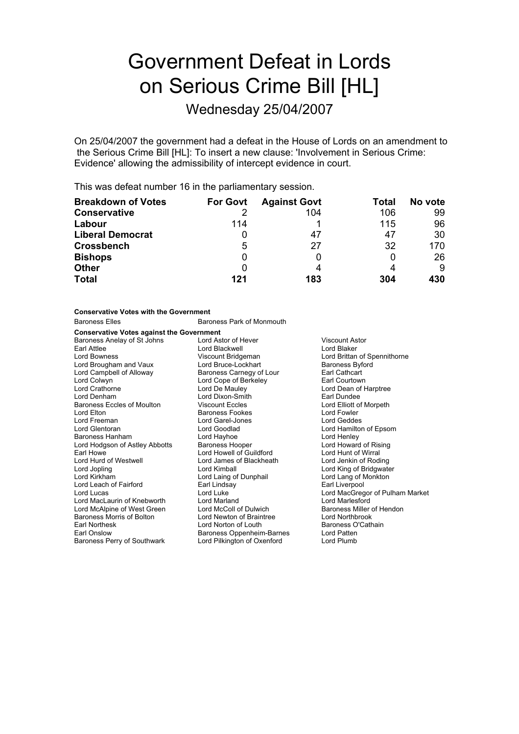# Government Defeat in Lords on Serious Crime Bill [HL]

Wednesday 25/04/2007

On 25/04/2007 the government had a defeat in the House of Lords on an amendment to the Serious Crime Bill [HL]: To insert a new clause: 'Involvement in Serious Crime: Evidence' allowing the admissibility of intercept evidence in court.

This was defeat number 16 in the parliamentary session.

| <b>Breakdown of Votes</b> | <b>For Govt</b> | <b>Against Govt</b> | Total | No vote |
|---------------------------|-----------------|---------------------|-------|---------|
| <b>Conservative</b>       |                 | 104                 | 106   | 99      |
| Labour                    | 114             |                     | 115   | 96      |
| <b>Liberal Democrat</b>   |                 | 47                  | 47    | 30      |
| <b>Crossbench</b>         | 5               | 27                  | 32    | 170     |
| <b>Bishops</b>            |                 |                     |       | 26      |
| <b>Other</b>              |                 | 4                   |       | 9       |
| <b>Total</b>              | 121             | 183                 | 304   | 430     |

| <b>Conservative Votes with the Government</b>                                                                                                                                                                                                                                                                                                                                                                            |                                                                                                                                                                                                                                                                                                                                                                                                                                        |                                                                                                                                                                                                                                                                                                                                                                                                                                 |  |  |  |
|--------------------------------------------------------------------------------------------------------------------------------------------------------------------------------------------------------------------------------------------------------------------------------------------------------------------------------------------------------------------------------------------------------------------------|----------------------------------------------------------------------------------------------------------------------------------------------------------------------------------------------------------------------------------------------------------------------------------------------------------------------------------------------------------------------------------------------------------------------------------------|---------------------------------------------------------------------------------------------------------------------------------------------------------------------------------------------------------------------------------------------------------------------------------------------------------------------------------------------------------------------------------------------------------------------------------|--|--|--|
| <b>Baroness Elles</b>                                                                                                                                                                                                                                                                                                                                                                                                    | Baroness Park of Monmouth                                                                                                                                                                                                                                                                                                                                                                                                              |                                                                                                                                                                                                                                                                                                                                                                                                                                 |  |  |  |
| <b>Conservative Votes against the Government</b>                                                                                                                                                                                                                                                                                                                                                                         |                                                                                                                                                                                                                                                                                                                                                                                                                                        |                                                                                                                                                                                                                                                                                                                                                                                                                                 |  |  |  |
| Baroness Anelay of St Johns<br>Earl Attlee<br>Lord Bowness<br>Lord Brougham and Vaux<br>Lord Campbell of Alloway<br>Lord Colwyn<br>Lord Crathorne<br>Lord Denham<br>Baroness Eccles of Moulton<br>Lord Elton<br>Lord Freeman<br>Lord Glentoran<br><b>Baroness Hanham</b><br>Lord Hodgson of Astley Abbotts<br>Earl Howe<br>Lord Hurd of Westwell<br>Lord Jopling<br>Lord Kirkham<br>Lord Leach of Fairford<br>Lord Lucas | Lord Astor of Hever<br>Lord Blackwell<br>Viscount Bridgeman<br>Lord Bruce-Lockhart<br>Baroness Carnegy of Lour<br>Lord Cope of Berkeley<br>Lord De Mauley<br>Lord Dixon-Smith<br>Viscount Eccles<br><b>Baroness Fookes</b><br>Lord Garel-Jones<br>Lord Goodlad<br>Lord Hayhoe<br><b>Baroness Hooper</b><br>Lord Howell of Guildford<br>Lord James of Blackheath<br>Lord Kimball<br>Lord Laing of Dunphail<br>Earl Lindsay<br>Lord Luke | <b>Viscount Astor</b><br>Lord Blaker<br>Lord Brittan of Spennithorne<br><b>Baroness Byford</b><br>Earl Cathcart<br>Earl Courtown<br>Lord Dean of Harptree<br>Earl Dundee<br>Lord Elliott of Morpeth<br>Lord Fowler<br><b>Lord Geddes</b><br>Lord Hamilton of Epsom<br>Lord Henley<br>Lord Howard of Rising<br>Lord Hunt of Wirral<br>Lord Jenkin of Roding<br>Lord King of Bridgwater<br>Lord Lang of Monkton<br>Earl Liverpool |  |  |  |
| Lord MacLaurin of Knebworth<br>Lord McAlpine of West Green<br>Baroness Morris of Bolton                                                                                                                                                                                                                                                                                                                                  | Lord Marland<br>Lord McColl of Dulwich                                                                                                                                                                                                                                                                                                                                                                                                 | Lord MacGregor of Pulham Market<br><b>Lord Marlesford</b><br>Baroness Miller of Hendon                                                                                                                                                                                                                                                                                                                                          |  |  |  |
| Earl Northesk<br>Earl Onslow<br>Baroness Perry of Southwark                                                                                                                                                                                                                                                                                                                                                              | Lord Newton of Braintree<br>Lord Norton of Louth<br>Baroness Oppenheim-Barnes<br>Lord Pilkington of Oxenford                                                                                                                                                                                                                                                                                                                           | Lord Northbrook<br>Baroness O'Cathain<br>Lord Patten<br>Lord Plumb                                                                                                                                                                                                                                                                                                                                                              |  |  |  |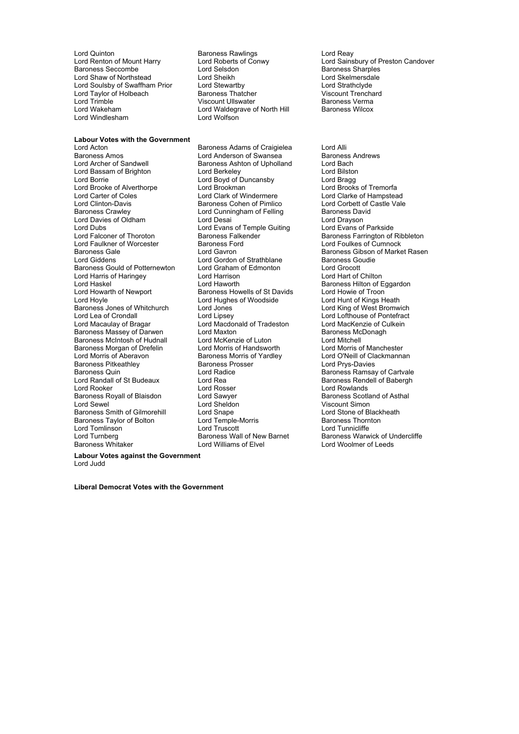Lord Quinton **Carolic Baroness Rawlings** Lord Reaven Cord Reay<br>
Lord Renton of Mount Harry **Lord Roberts of Conwy** Lord Sains Lord Shaw of Northstead Lord Sheikh Lord Skelmersdale Lord Skelmersdale Lord Stewarthy Lord Strathclyde Lord Soulsby of Swaffham Prior Lord Stewartby **Lord Strathclyde**<br>
Lord Taylor of Holbeach **Baroness Thatcher** Corporation Child Child Child Child Child Child Child Child Child Ch Lord Taylor of Holbeach **Franchard Baroness Thatcher Franchard Corporat Trenchard Corporation**<br>
Lord Trimble **Franchard Corporat Corporat Trenchard Corporation**<br>
Viscount Ullswater Franchard Baroness Verma Lord Trimble Contract Contract Contract Contract Contract Contract Contract Contract Contract Contract Contract Contract Contract Contract Contract Contract Contract Contract Contract Contract Contract Contract Contract Co Lord Windlesham

**Labour Votes with the Government**<br>**Lord Acton** Lord Acton **Communist Communist Baroness Adams of Craigielea** Lord Alli<br>Baroness Amos **Communist Communist Communist Communist Communist Communist Communist Communist Communist Communist** Baroness Amos **Communist Communist Communist Communist Communist Communist Communist Communist Communist Communist Communist Communist Communist Communist Communist Communist Communist Communist Communist Communist Communi** Lord Bassam of Brighton **Lord Berkeley** Lord Box Lord Bilston<br>
Lord Box Lord Boyd of Duncansby Lord Bragg Lord Brooke of Alverthorpe **Lord Brookman** Lord Brooks of Tremorfa<br>
Lord Carter of Coles **Lord Clark of Windermere** Lord Clarke of Hampstead Lord Carter of Coles<br>
Lord Clark of Windermere Lord Clarke of Hampstead<br>
Lord Clinton-Davis **Carter Carter Carter Carter Carter Carter Carter Carter Carter Carter Carter Carter Carter** Lord Clinton-Davis **Baroness Cohen of Pimlico**<br>Baroness Crawlev **Baroness Contains Container Contains Container** Lord Davies of Oldham Lord Desai Lord Desai Lord Drayson<br>
Lord Dubs Lord Evans of Temple Guiting Lord Evans of Parkside Lord Dubs<br>
Lord Ealconer of Thoroton<br>
Baroness Falkender Lord Faulkner of Worcester Ford Baroness Ford Baroness Ford Baroness Cale Baroness Gould of Potternewton Lord Graham of Edmonton Lord Grocott<br>
Lord Harris of Haringey Lord Harrison Lord Harrison Lord Harrison Lord Harris of Haringey Lord Harrison<br>
Lord Haskel Cord Haworth Lord Haskel Corresponding Lord Haworth Baroness Hilton of Eggardon<br>
Lord Howarth of Newport Baroness Howells of St Davids Lord Howie of Troon Lord Hoyle Lord Hughes of Woodside Lord Hunt of Kings Heath Baroness Jones of Whitchurch Lord Jones Lord King of West Bromwich Lord Lea of Crondall Lord Lord Lipsey Lord Lofthouse of Pontefract<br>Lord Macaulay of Bragar Lord Macdonald of Tradeston Lord MacKenzie of Culkein Baroness Massey of Darwen Lord Maxton Lord Maxton Baroness McDonagh<br>Baroness McIntosh of Hudnall Lord McKenzie of Luton Lord Mitchell Baroness McIntosh of Hudnall Lord McKenzie of Luton Lord Mitchell<br>Baroness Morgan of Drefelin Lord Morris of Handsworth Lord Morris of Manchester Baroness Morgan of Drefelin Lord Morris of Handsworth Lord Morris of Yardley Baroness Pitkeathley **Baroness Prosser** Exercise Condess Prosser Exercise Services Ramsar<br>Baroness Quin **Baroness Prosser Condess Article** Baroness Ramsar Baroness Quin and Correct Lord Radice and Baroness Ramsay of Cartvale Correct Lord Radice Correct Baroness Rendell of Babergh Lord Rooker **Lord Rooker** Lord Rosser **Lord Rooker** Lord Rowlands<br>
Baroness Royall of Blaisdon **Lord Sawyer Lord Rosser Constructs** Baroness Scotland of Asthal Baroness Royall of Blaisdon **Caroness Royall of Asthal** Lord Sawyer<br>
Lord Sewel **Asthala** Baroness Smith of Gilmorehill Lord Snape<br>Baroness Taylor of Bolton Lord Temple-Morris Baroness Taylor of Bolton **Lord Temple-Morris** Baroness Thornton Lord Temple-Morris **Baroness Thornton**<br>
Lord Tomlinson **Lord Tuscott** Lord Tuscott Lord Tunnicliffe Lord Tomlinson Lord Truscott<br>
Lord Turnberg<br>
Lord Turnberg Lord Truscott Baroness Wall of New Barnet Lord Turnberg **Baroness Wall of New Barnet** Baroness Warwick of Undercliffe<br>Baroness Whitaker **Baroness Warwick of Undercliffe**<br>Baroness Whitaker **Baroness Whitaker** Lord Williams of Elvel Lord Woolmer of Leeds

Lord Selsdon **Baroness Sharples**<br>
Lord Sheikh Baroness Sharples<br>
Lord Skelmersdale Lord Waldegrave of North Hill<br>Lord Wolfson

Baroness Ashton of Upholland Lord Bach<br>
Lord Berkeley Cord Bilston Lord Boyd of Duncansby **1988**<br>Lord Brookman **Lord Brooks** of Tremorfa Lord Cunningham of Felling Baroness David Lord Gordon of Strathblane Baroness Goudien<br>
Baroness Goudien<br>
Lord Grocott Baroness Howells of St Davids<br>Lord Hughes of Woodside Lord Macdonald of Tradeston Lord Williams of Elvel

Lord Renton of Mount Harry Lord Roberts of Conwy Lord Sainsbury of Preston Candover

Externess Falkender **Communist Communist Communist Communist Communist Communist Communist Communist Communist Communist Communist Communist Communist Communist Communist Communist Communist Communist Communist Communist C** Baroness Gale **Communist Constructs Constructs Constructs** Baroness Gibson of Market Rasen<br>Lord Giddens **Communist Constructs Constructs** Baroness Goudie Lord O'Neill of Clackmannan Baroness Rendell of Babergh Viscount Simon<br>Lord Stone of Blackheath

**Labour Votes against the Government**

Lord Judd

**Liberal Democrat Votes with the Government**